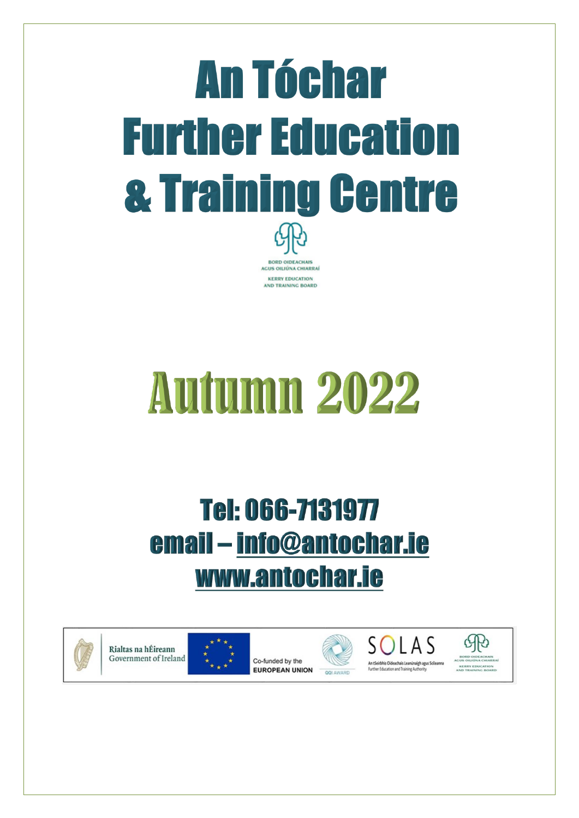# **An Tóchar Further Education & Training Centre BORD OIDEACHAIS** AGUS OILIÚNA CHIARRAÍ **KERRY EDUCATION** AND TRAINING BOARD

# **Autumn 2022**

# Tel: 066-7131977 email - info@antochar.ie www.antochar.ie



Rialtas na hÉireann Government of Ireland



Co-funded by the **EUROPEAN UNION** 





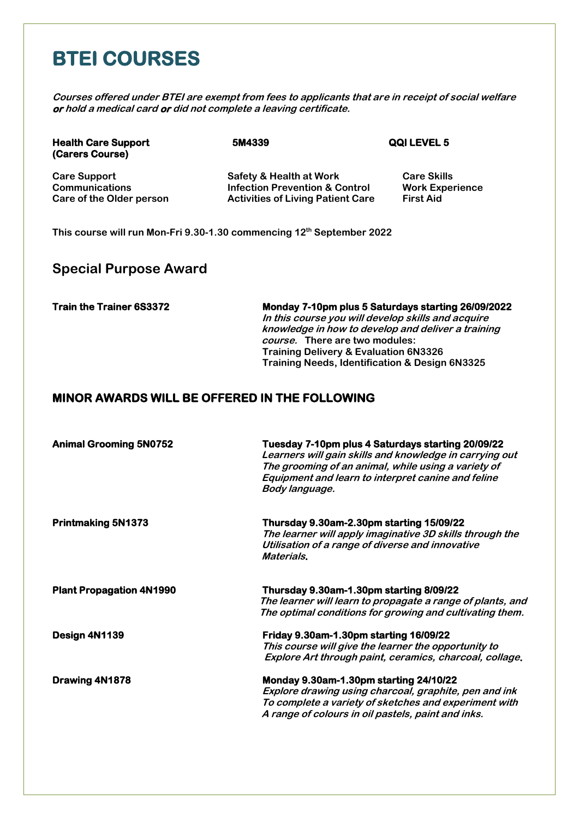## **BTEI COURSES**

**Courses offered under BTEI are exempt from fees to applicants that are in receipt of social welfare or hold a medical card or did not complete a leaving certificate.**

| <b>Health Care Support</b><br>(Carers Course) | 5M4339                                    | QQI LEVEL 5            |
|-----------------------------------------------|-------------------------------------------|------------------------|
| <b>Care Support</b>                           | <b>Safety &amp; Health at Work</b>        | <b>Care Skills</b>     |
| <b>Communications</b>                         | <b>Infection Prevention &amp; Control</b> | <b>Work Experience</b> |
| Care of the Older person                      | <b>Activities of Living Patient Care</b>  | <b>First Aid</b>       |

**This course will run Mon-Fri 9.30-1.30 commencing 12th September 2022**

#### **Special Purpose Award**

**Train the Trainer 6S3372 Monday 7-10pm plus 5 Saturdays starting 26/09/2022 In this course you will develop skills and acquire knowledge in how to develop and deliver a training course. There are two modules: Training Delivery & Evaluation 6N3326 Training Needs, Identification & Design 6N3325**

#### **MINOR AWARDS WILL BE OFFERED IN THE FOLLOWING**

| <b>Animal Grooming 5N0752</b>   | Tuesday 7-10pm plus 4 Saturdays starting 20/09/22<br>Learners will gain skills and knowledge in carrying out<br>The grooming of an animal, while using a variety of<br>Equipment and learn to interpret canine and feline<br>Body language. |
|---------------------------------|---------------------------------------------------------------------------------------------------------------------------------------------------------------------------------------------------------------------------------------------|
| <b>Printmaking 5N1373</b>       | Thursday 9.30am-2.30pm starting 15/09/22<br>The learner will apply imaginative 3D skills through the<br>Utilisation of a range of diverse and innovative<br>Materials.                                                                      |
| <b>Plant Propagation 4N1990</b> | Thursday 9.30am-1.30pm starting 8/09/22<br>The learner will learn to propagate a range of plants, and<br>The optimal conditions for growing and cultivating them.                                                                           |
| Design 4N1139                   | Friday 9.30am-1.30pm starting 16/09/22<br>This course will give the learner the opportunity to<br>Explore Art through paint, ceramics, charcoal, collage.                                                                                   |
| Drawing 4N1878                  | Monday 9.30am-1.30pm starting 24/10/22<br>Explore drawing using charcoal, graphite, pen and ink<br>To complete a variety of sketches and experiment with<br>A range of colours in oil pastels, paint and inks.                              |